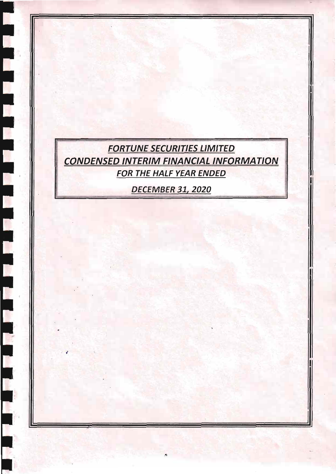

 $\blacklozenge$ 

r.

**DECEMBER 31, 2020**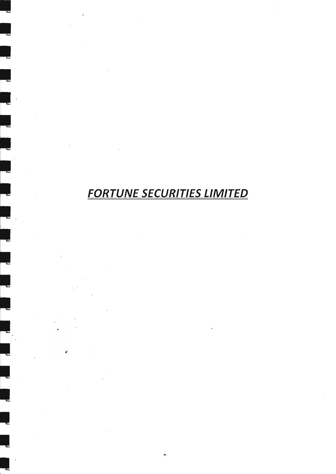# **FORTUNE SECURITIES LIMITED**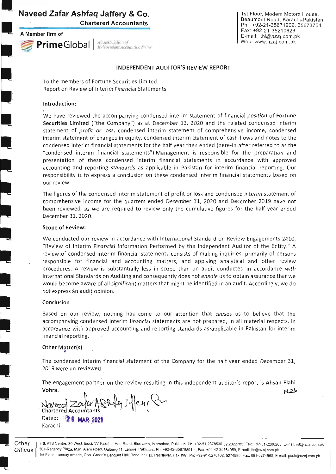# Naveed Zafar Ashfaq Jaffery & Co.

Chartered Accountants

A Member firm of

I

I

L<br>I

I<br>I

l<br>I

I

Prime Global | An Association of

1st Floor, Modem Motors House, Beaumont Road, Karachi-Pakistan Ph: +92-21-3567 1909, 35673754 Fax +92-21-35210626 E-mail: khi@nzaj.com.pk Web: www.nzaj.com.pk

# INDEPENDENT AUDITOR'S REVIEW REPORT

To the members of Fortune Securities Limited Report on Review of Interim Financial Statements

# Introduction:

We have reviewed the accompanying condensed interim statement of financial position of Fortune Securities Limited ("the Company") as at December 31, 2020 and the related condensed interim statement of profit or loss, condensed interim statement of comprehensive income, condensed interim statement of changes in equity, condensed interim statement of cash flows and notes to the condensed interim financial statements for the half year then ended (here-in-after referred to as the "condensed interim financial statements").Management is responsible for the preparation and presentation of these condensed interim financial statements in accordance with approved accounting and reporting standards as applicable in Pakistan for interim financial reporting. Our responsibility is to express a conclusion on these condensed interim financial statements based on our review,

The figures of the condensed interim statement of profit or loss and condensed interim statement of comprehensive income for the quarters ended December 31., ?020 and December 2019 have not been reviewed, as we are required to review only the cumulative figures for the half year ended December 31,2020.

### Scope of Review:

We conducted our review in accordance with International Standard on Review Engagements 2410, "Review of lnterim Financial lnformation Performed by the lndependent Auditor of the Entity." A review of condensed interim financial statements consists of making inquiries, primarily of persons responsible for financial and accounting matters, and applying analytical and other review procedures. A review is substantially less in scope than an audit conducted in accordance with lnternational Standards on Auditing and consequently does not enable us to obtain assurance that we would become aware of all significant matters that might be identified in an audit. Accordingly, we do not express àn audit opinion.

# Conclusion

Based on our review, nothing has come to our attention that causes us to believe that the accompanying condensed interim financial statements are not prepared, in all material respects, in accordance with approved accounting and reporting standards as applicable in Pakistan for interim financial reporting.

### Other Matter(s)

The condensed interim financial statement of the Company for the half year ended December 31, 2019 were un-reviewed.

The engagement partner on the review resulting in this independent auditor's report is Ahsan Elahi Vohra.  $N2M$ 

 $g$ htg  $\mathcal{H}$ ey (1 Dated: **28 MAR 2021** 

Karachi

Other<br>Offices

3-6, ATS Centre, 30 West, Block "A" Fazal-ul-Haq Road, Blue area, Islamabad, Pakistan. Ph: +92-51-2878530-32,2822785, Fax: +92-51-2206283, E-mail: isl@nzaj.com.pk 301-Regency Plaza, M.M. Alam Road, Gulberg-11, Lahore, Pakistan.. Ph: +92-42-35876891-4, Fax: +92-42-35764959, E-mail: lhr@nzaj.com.pk 1st Floor, Lamsay Arcade, Opp. Green's Banquet Hall, Banquet Hall, Peshawar, Pakistan. Ph: +92-91-5276102, 5274995, Fax: 091-5274968, E-mail: pesh@nzaj.com.pk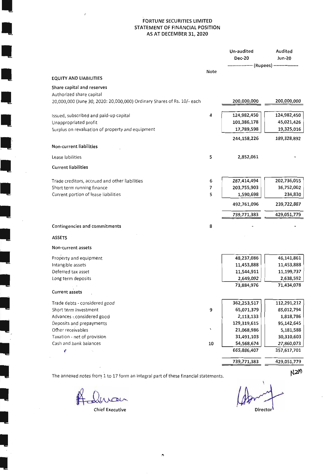# **FORTUNE SECURITIES LIMITED** STATEMENT OF FINANCIAL POSITION AS AT DECEMBER 31, 2020

|                                                                                    |      | Un-audited                               | Audited       |
|------------------------------------------------------------------------------------|------|------------------------------------------|---------------|
|                                                                                    |      | <b>Dec-20</b>                            | <b>Jun-20</b> |
|                                                                                    |      | -------------- (Rupees) ---------------- |               |
|                                                                                    | Note |                                          |               |
| <b>EQUITY AND LIABILITIES</b>                                                      |      |                                          |               |
| Share capital and reserves                                                         |      |                                          |               |
| Authorized share capital                                                           |      |                                          |               |
| 20,000,000 (June 30, 2020: 20,000,000) Ordinary Shares of Rs. 10/- each            |      | 200,000,000                              | 200,000,000   |
| Issued, subscribed and paid-up capital                                             | 4    | 124,982,450                              | 124,982,450   |
| Unappropriated profit                                                              |      | 101,386,178                              | 45,021,426    |
| Surplus on revaluation of property and equipment                                   |      | 17,789,598                               | 19,325,016    |
|                                                                                    |      | 244,158,226                              | 189,328,892   |
| Non-current liabilities                                                            |      |                                          |               |
| Lease labilities                                                                   | 5    | 2,852,061                                |               |
| <b>Current liabilities</b>                                                         |      |                                          |               |
| Trade creditors, accrued and other liabilities                                     | 6    | 287,414,494                              | 202,736,055   |
| Short term running finance                                                         | 7    | 203,755,903                              | 36,752,002    |
| Current portion of lease liabilities                                               | 5    | 1,590,698                                | 234,830       |
|                                                                                    |      | 492,761,096                              | 239,722,887   |
|                                                                                    |      | 739,771,383                              | 429,051,779   |
| Contingencies and commitments                                                      | 8    |                                          |               |
| <b>ASSETS</b>                                                                      |      |                                          |               |
|                                                                                    |      |                                          |               |
| Non-current assets                                                                 |      |                                          |               |
| Property and equipment                                                             |      | 48,237,086                               | 46,141,861    |
| Intangible assets                                                                  |      | 11,453,888                               | 11,453,888    |
| Deferred tax asset                                                                 |      | 11,544,911                               | 11,199,737    |
| Long term deposits                                                                 |      | 2,649,092                                | 2,638,592     |
|                                                                                    |      | 73,884,976                               | 71,434,078    |
| <b>Current assets</b>                                                              |      |                                          |               |
| Trade debts - considered good                                                      |      | 362,253,517                              | 112,291,212   |
| Short term investment                                                              | 9    | 65,071,379                               | 85,012,794    |
| Advances - considered good                                                         |      | 2,113,133                                | 1,818,786     |
| Deposits and prepayments                                                           |      | 129,319,615                              | 95,142,645    |
| Ofher receivables                                                                  | ١    | 21,068,986                               | 5,181,588     |
| Taxation - net of provision                                                        |      | 31,491,103                               | 30,310,603    |
| Cash and bank balances                                                             | 10   | 54,568,674                               | 27,860,073    |
| V                                                                                  |      | 665,886,407                              | 357,617,701   |
|                                                                                    |      | 739,771,383                              | 429,051,779   |
| The annexed notes from 1 to 17 form an integral part of these financial statements |      |                                          | NZW           |

The annexed notes from 1 to 17 form an integral part of these financial statements.

inan.

 $\begin{array}{c} \end{array}$ 

Q

 $\Box$ 

**Chief Executive** 

Director

 $\mathcal{F}$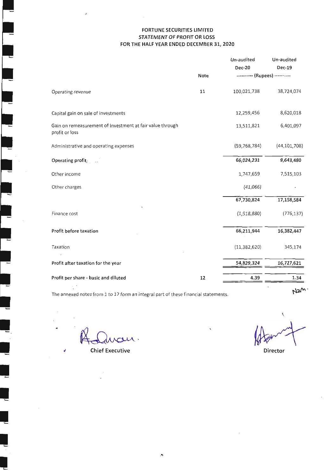# FORTUNE SECURITIES LIMITED STATEMENT OF PROFIT OR LOSS FOR THE HALF YEAR ENDED DECEMBER 31, 2020

|                                                                             | Note | Un-audited<br><b>Dec-20</b><br>---------- (Rupees) ---------- | Un-audited<br>Dec-19 |
|-----------------------------------------------------------------------------|------|---------------------------------------------------------------|----------------------|
| Operating revenue                                                           | 11   | 100,021,738                                                   | 38,724,074           |
| Capital gain on sale of investments                                         |      | 12,259,456                                                    | 8,620,018            |
| Gain on remeasurement of investment at fair value through<br>profit or loss |      | 13,511,821                                                    | 6,401,097            |
| Administrative and operating expenses                                       |      | (59, 768, 784)                                                | (44, 101, 708)       |
| Operating profit,                                                           |      | 66,024,231                                                    | 9,643,480            |
| Other income                                                                |      | 1,747,659                                                     | 7,515,103            |
| Other charges                                                               |      | (41,066)                                                      |                      |
|                                                                             |      | 67,730,824                                                    | 17,158,584           |
| Finance cost                                                                |      | (1,518,880)                                                   | (776, 137)           |
| Profit before taxation                                                      |      | 66,211,944                                                    | 16,382,447           |
| Taxation                                                                    |      | (11, 382, 620)                                                | 345,174              |
| Profit after taxation for the year                                          |      | 54,829,324                                                    | 16,727,621           |
| Profit per share - basic and diluted                                        | 12   | 4.39                                                          | 1.34                 |
|                                                                             |      |                                                               |                      |

The annexed notes from 1 to 17 form an integral part of these financial statements.

|<br>|

 $\ddot{\phantom{0}}$ 

ehief Executive Director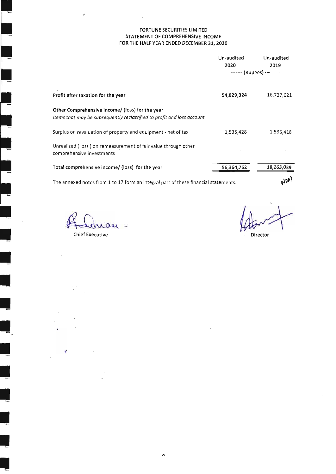# FORTUNE SECURITIES LIMITED STATEMENT OF COMPREHENSIVE INCOME FOR THE HALF YEAR ENDED DECEMBER 3I,2O2O

|                                                                                                                           | Un-audited<br>2020<br>---------- (Rupees) ---------- | Un-audited<br>2019 |
|---------------------------------------------------------------------------------------------------------------------------|------------------------------------------------------|--------------------|
| Profit after taxation for the year                                                                                        | 54,829,324                                           | 16,727,621         |
| Other Comprehensive income/ (loss) for the year<br>Items that may be subsequently reclassified to profit and loss account |                                                      |                    |
| Surplus on revaluation of property and equipment - net of tax                                                             | 1,535,428                                            | 1,535,418          |
| Unrealized (loss) on remeasurement of fair value through other<br>comprehensive investments                               |                                                      |                    |
| Total comprehensive income/ (loss) for the year                                                                           | 56,364,752                                           | 18,263,039         |
| The annexed notes from 1 to 17 form an integral part of these financial statements.                                       |                                                      | $R_{12}^{(1)}$     |

The annexed notes from 1 to 17 form an integral part of these financial statements.

 $\lambda$ 

 $\Omega$ Chief Executive

t

Director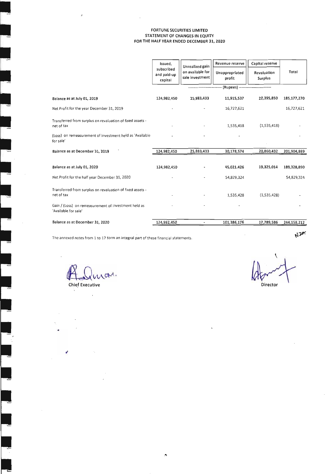### FORTUNE SECURITIES LIMITED STATEMENT OF CHANGES IN EQUITY FOR THE HALF YEAR ENDED DECEMBER 31, 2O2O

|                                                                              | issued,<br>subscribed<br>and paid-up | Unrealized gain<br>on available for | Revenue reserve<br>Unappropriated                     | Capital reserve<br>Revaluation | Total         |
|------------------------------------------------------------------------------|--------------------------------------|-------------------------------------|-------------------------------------------------------|--------------------------------|---------------|
|                                                                              | capital                              | sale investment                     | profit                                                | Surplus                        |               |
|                                                                              |                                      |                                     | ------------------ (Rupees) ------------------------- |                                |               |
| Balance as at July 01, 2019                                                  | 124,982,450                          | 25,883,433                          | 11,915,537                                            | 22,395,850                     | 185, 177, 270 |
| Net Profit for the year December 31, 2019                                    |                                      |                                     | 16,727,621                                            |                                | 16,727,621    |
| Transferred from surplus on revaluation of fixed assets -<br>net of tax      |                                      |                                     | 1,535,418                                             | (1,535,418)                    |               |
| (Loss) on remeasurement of investment held as 'Available<br>for sale'        |                                      |                                     |                                                       |                                |               |
| Balance as at December 31, 2019                                              | 124,982,450                          | 25,883,433                          | 30,178,574                                            | 20,860,432                     | 201,904,889   |
|                                                                              |                                      |                                     |                                                       |                                |               |
| Balance as at July 01, 2020                                                  | 124,982,450                          |                                     | 45,021,426                                            | 19,325,014                     | 189,328,890   |
| Net Profit for the half year December 31, 2020                               |                                      |                                     | 54,829,324                                            |                                | 54,829,324    |
| Transferred from surplus on revaluation of fixed assets -<br>net of tax      |                                      |                                     | 1,535,428                                             | (1,535,428)                    |               |
| Gain / (Loss) on remeasurement of investment held as<br>'Available for sale' |                                      |                                     |                                                       |                                |               |
| Balance as at December 31, 2020                                              | 124,982,450                          |                                     | 101,386,176                                           | 17,789,586                     | 244,158,212   |

The annexed notes from 1 to 17 form an integral part of these financial statements.

**W2W.** 

R. Qua. **Chief Executive Director** 

l,

÷,

d

 $\bar{z}$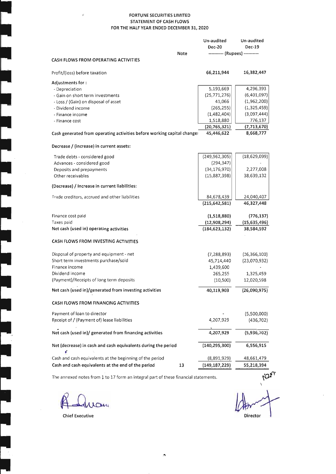# FORTUNE SECURITIES LIMITED STATEMENT OF CASH FLOWS FOR THE HALF YEAR ENDED DECEMBER 31, 2O2O

|                                                                         |      | Un-audited<br><b>Dec-20</b>    | Un-audited<br><b>Dec-19</b> |
|-------------------------------------------------------------------------|------|--------------------------------|-----------------------------|
|                                                                         | Note | ---------- (Rupees) ---------- |                             |
| <b>CASH FLOWS FROM OPERATING ACTIVITIES</b>                             |      |                                |                             |
| Profit/(loss) before taxation                                           |      | 66,211,944                     | 16,382,447                  |
| Adjustments for :                                                       |      |                                |                             |
| - Depreciation                                                          |      | 5,193,669                      | 4,296,393                   |
| - Gain on short term investments                                        |      | (25,771,276)                   | (6,401,097)                 |
| - Loss / (Gain) on disposal of asset                                    |      | 41,066                         | (1,962,200)                 |
| - Dividend income                                                       |      | (265, 255)                     | (1,325,459)                 |
| - Finance income                                                        |      | (1,482,404)                    | (3,097,444)                 |
| - Finance cost                                                          |      | 1,518,880                      | 776,137                     |
| Cash generated from operating activities before working capital changes |      | (20, 765, 321)<br>45,446,622   | (7, 713, 670)<br>8,668,777  |
|                                                                         |      |                                |                             |
| Decrease / (increase) in current assets:                                |      |                                |                             |
| Trade debts - considered good                                           |      | (249, 962, 305)                | (18,629,099)                |
| Advances - considered good                                              |      | (294, 347)                     |                             |
| Deposits and prepayments                                                |      | (34, 176, 970)                 | 2,277,008                   |
| Other receivables                                                       |      | (15,887,398)                   | 38,639,132                  |
| (Decrease) / Increase in current liabilities:                           |      |                                |                             |
| Trade creditors, accrued and other liabilities                          |      | 84,678,439                     | 24,040,407                  |
|                                                                         |      | (215, 642, 581)                | 46,327,448                  |
| Finance cost paid                                                       |      | (1,518,880)                    | (776, 137)                  |
| Taxes paid                                                              |      | (12,908,294)                   | (15,635,496)                |
| Net cash (used in) operating activities                                 |      | (184, 623, 132)                | 38,584,592                  |
| CASH FLOWS FROM INVESTING ACTIVITIES                                    |      |                                |                             |
| Disposal of property and equipment - net                                |      | (7, 288, 893)                  | (16, 366, 100)              |
| Short term investments purchase/sold                                    |      | 45,714,440                     | (23,070,932)                |
| Finance income                                                          |      | 1,439,600                      |                             |
| Dividend income                                                         |      | 265,255                        | 1,325,459                   |
| (Payment)/Receipts of long term deposits                                |      | (10, 500)                      | 12,020,598                  |
| Net cash (used in)/generated from investing activities                  |      | 40,119,903                     | (26,090,975)                |
| CASH FLOWS FROM FINANCING ACTIVITIES                                    |      |                                |                             |
| Payment of loan to director                                             |      |                                | (5,500,000)                 |
| Receipt of / (Payment of) lease liabilities                             |      | 4,207,929                      | (436, 702)                  |
| Net cash (used in)/ generated from financing activities                 |      | 4,207,929                      | (5,936,702)                 |
|                                                                         |      |                                |                             |
| Net (decrease) in cash and cash equivalents during the period<br>ď      |      | (140, 295, 300)                | 6,556,915                   |
| Cash and cash equivalents at the beginning of the period                |      | (8,891,929)                    | 48,661,479                  |
| Cash and cash equivalents at the end of the period                      | 13   | (149, 187, 229)                | 55,218,394                  |

The annexed notes from 1 to 17 form an integral part of these financial statements.

Law

Chief Executive Director

 $\overline{\phantom{a}}$ 

Ļ

Ļ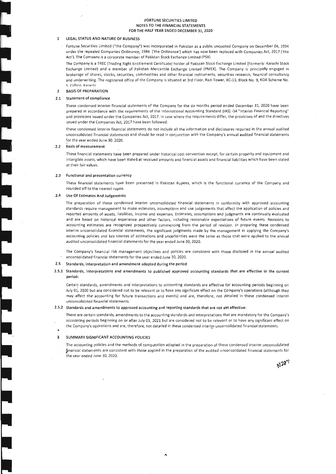### FORTUNE SECURITIES LIMITED NOTES TO THE FINANCIAL STATEMENTS FOR THE HALF YEAR ENDED DECEMEER 31, 2O2O

#### 1 LEGAL STATUS AND NATURE OF BUSINESS

Fortune Securities Limited ("the Company") was incorporated in Pakistan as a public unquoted Company on December 04, 1994 under the repealed Companies Ordinance, 1984 ('the Ordinance') which has now been replaced with Companies Act, 2017 ('the Act'). The Company is a corporate member of Pakistan Stock Exchange Limited (PSX).

The Company is a TREC (Trading Right Entitlement Certificate) holder of Pakistan Stock Exchange Limited (Formerly: Karachi Stock Exchange Limited) and a member of Pakistan Mercantile Exchange Limited (PMEX). The Company is principally engaged ln brokerage of shares, stocks, securities, commodities and other financial instruments, securities research, financial consultancy and underwriting. The registered office of the Company is situated at 3rd Floor, Razi Tower, BC-13, Block No. 9, KDA Scheme No. 5 Clifton Karachi

#### BASIS OF PREPARATION  $\overline{2}$

#### Statement of compliance 2.t

These condensed interim financial statements of the Company for the six months period ended December 37,2020 have been prepared in accordance with the requirements of the International Accounting Standard (IAS) -34 "Interim Financial Reporting" and provisions issued under the Companies Act, 2017. In case where the requirements differ, the provisions of and the directives issued under the Companies Act, 2017 have been followed.

These condensed interim financial statements do not include all the information and disclosures required in the annual audited unconsolidated flnancial statements and should be read in conjunction with the Company's annual audited financial statements for the vear ended lune 30, 2020.

#### Basis of measurement 2.2

These financial statements have been prepared under historical cost convention except, for certain property and equipment and intangible assets, which have been stated at revalued amounts and financial assets and financial liabilities which have been stated at their fair values.

### 2,3 Functional and presentation currency

These financial statements have been presented in Pakistan Rupees, which is the functional currency of the Company and rounded off to the nearest rupee.

### 7.4 Use Of Estimates And Judgements

The preparation of these condensed interim unconsolidated financial statements in conformity with approved accounting standards require management to make estimates, assumptions and use judgements that affect the application of policies and reported amounts of assets, liabilities, income and expenses. Estimates, assumptions and judgments are continually evaluated and are based on historical experience and other factors, including reasonable expectations of future events. Revisions to accounting estimates are recognized prospectively commencing from the period of revision. In preparing these condensed interim unconsolidated financial statements, the significant judgments made by the management in applying the Company's accounting policies and key sources of estimations and uncertainties were the same as those that were applied to the annual audited unconsolidated financial statements for the year ended June 30, 2020.

The Company's financial risk management objectives and policies are consistent with those disclosed in the annual audited unconsolidated financial statements for the year ended June 30, ZO2O.

### 2.5 Standards, interpretation and amendment adopted during the period

2.5.1 Standards, interpretations and amendments to published approved accounting standards that are effective in the current period:

Certain standards, amendments and interpretations to accounting standards are effective for accounting perlods beginning on July 01, 2020 but are considered not to be relevant or to have any significant effect on the Company's operations (although they may affect the accounting for future transactions and events) and are, therefore, not detailed in these condensed interim unconsolidated financial statements.

### 2.5.2 Standards and amendments to approved accounting and reporting standards that are not yet effective:

There are certain standards, amendments to the accounting standards and interpretations that are mandatory for the Company's accounting periods beginning on or after July 01, 2021 but are considered not to be relevant or to have any significant effect on the Cgmpany's operations and are, therefore, not detailed in these condensed interim unconsolidated financial statements.

#### SUMMARY SIGNIFICANT ACCOUNTING POLICIES 3

The accounting policies and the methods of computation adopted in the preparation of these condensed interim unconsolidated financial statements are consistent with those applied in the preparation of the audited unconsolidated financial statements for the vear ended lune 30, 2020.

 $N2m$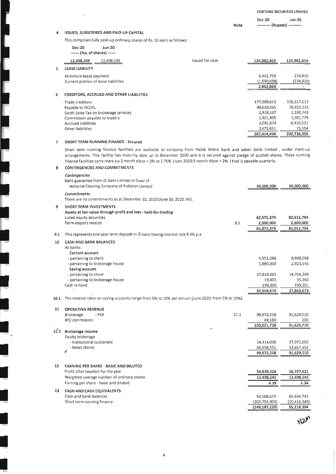### Dec-20 Jun-20 ---------- (Rupees) ----------Note

# 4 ISSUED, SUBSCRIBED AND PAID-UP CAPITAL

׀<br>׀<br>֧׀

l<br>L

I

L

|      |                                                             |                                                                                     | This comprises fully paid-up ordinary shares of Rs. 10 each as follows:         |                                                                                                                                                                                                                                                                                                                                                                                             |                          |                          |
|------|-------------------------------------------------------------|-------------------------------------------------------------------------------------|---------------------------------------------------------------------------------|---------------------------------------------------------------------------------------------------------------------------------------------------------------------------------------------------------------------------------------------------------------------------------------------------------------------------------------------------------------------------------------------|--------------------------|--------------------------|
|      | <b>Dec-20</b><br>------ (No. of shares) ------              | <b>Jun-20</b>                                                                       |                                                                                 |                                                                                                                                                                                                                                                                                                                                                                                             |                          |                          |
|      | 12,498,245                                                  | 12,498,245                                                                          |                                                                                 | Issued for cash                                                                                                                                                                                                                                                                                                                                                                             | 124,982,450              | 124,982,450              |
| 5    | <b>LEASE LIABILITY</b>                                      |                                                                                     |                                                                                 |                                                                                                                                                                                                                                                                                                                                                                                             |                          |                          |
|      | Minimum lease payment                                       |                                                                                     |                                                                                 |                                                                                                                                                                                                                                                                                                                                                                                             | 4,442,758                | 234,830                  |
|      | Current portion of lease liabilities                        |                                                                                     |                                                                                 |                                                                                                                                                                                                                                                                                                                                                                                             | (1,590,698)<br>2,852,060 | (234, 830)<br>٠          |
| 6    |                                                             | <b>CREDITORS, ACCRUED AND OTHER LIABILITIES</b>                                     |                                                                                 |                                                                                                                                                                                                                                                                                                                                                                                             |                          |                          |
|      | Trade creditors                                             |                                                                                     |                                                                                 |                                                                                                                                                                                                                                                                                                                                                                                             | 177,389,633              | 116,317,117              |
|      | Payable to NCCPL                                            |                                                                                     |                                                                                 |                                                                                                                                                                                                                                                                                                                                                                                             | 99,619,565               | 76,910,332               |
|      |                                                             | Sindh Sales Tax on brokerage services                                               |                                                                                 |                                                                                                                                                                                                                                                                                                                                                                                             | 2,918,167                | 1,160,742                |
|      | Commission payable to traders<br><b>Accrued liabilities</b> |                                                                                     |                                                                                 |                                                                                                                                                                                                                                                                                                                                                                                             | 1,921,805<br>2,091,674   | 1,921,779<br>6,410,531   |
|      | Other liabilities                                           |                                                                                     |                                                                                 |                                                                                                                                                                                                                                                                                                                                                                                             | 3,473,651                | 15,554                   |
|      |                                                             |                                                                                     |                                                                                 |                                                                                                                                                                                                                                                                                                                                                                                             | 287,414,494              | 202,736,055              |
| 7    |                                                             | <b>SHORT TERM RUNNING FINANCE - Secured</b>                                         |                                                                                 |                                                                                                                                                                                                                                                                                                                                                                                             |                          |                          |
| 8    |                                                             | <b>CONTINGENCIES AND COMMITMENTS</b>                                                |                                                                                 | Short term running finance facilities are available to company from Habib Metro bank and askari bank limited, under mark-up<br>arrangements. This facility has maturity date up to December 2020 and it is secured against pledge of quoted shares. These running<br>finance facilities carry mark-up 3 month Kibor + 2% to 2.75% (June 2020:3 month Kibor + 2%) that is payable quarterly. |                          |                          |
|      | Contingencies                                               | Bank guarantee from JS Bank Limited in favor of                                     |                                                                                 |                                                                                                                                                                                                                                                                                                                                                                                             |                          |                          |
|      |                                                             | National Clearing Company of Pakistan Limited                                       |                                                                                 |                                                                                                                                                                                                                                                                                                                                                                                             | 50,000,000               | 50,000,000               |
|      | Commitments                                                 |                                                                                     | There are no commitments as at December 31, 2020 (June 30, 2020: Nil).          |                                                                                                                                                                                                                                                                                                                                                                                             |                          |                          |
| 9    | <b>SHORT TERM INVESTMENTS</b>                               |                                                                                     |                                                                                 |                                                                                                                                                                                                                                                                                                                                                                                             |                          |                          |
|      |                                                             |                                                                                     | Assets at fair value through profit and loss - held-for-trading                 |                                                                                                                                                                                                                                                                                                                                                                                             |                          |                          |
|      | Listed equity securities<br>Term deposit receipt            |                                                                                     |                                                                                 | 9.1                                                                                                                                                                                                                                                                                                                                                                                         | 62,571,379<br>2,500,000  | 82,512,794<br>2,500,000  |
|      |                                                             |                                                                                     |                                                                                 |                                                                                                                                                                                                                                                                                                                                                                                             | 65,071,379               | 85,012,794               |
| 9.1  |                                                             |                                                                                     | This represents one year term deposit in JS bank having interest rate 5.4% p.a. |                                                                                                                                                                                                                                                                                                                                                                                             |                          |                          |
| 10   | <b>CASH AND BANK BALANCES</b>                               |                                                                                     |                                                                                 |                                                                                                                                                                                                                                                                                                                                                                                             |                          |                          |
|      | At banks:<br>Current account                                |                                                                                     |                                                                                 |                                                                                                                                                                                                                                                                                                                                                                                             |                          |                          |
|      | - pertaining to client                                      |                                                                                     |                                                                                 |                                                                                                                                                                                                                                                                                                                                                                                             | 4,551,288                | 9,998,098                |
|      |                                                             | - pertaining to brokerage house                                                     |                                                                                 |                                                                                                                                                                                                                                                                                                                                                                                             | 1,980,300                | 2,923,146                |
|      | Saving account<br>- pertaining to client                    |                                                                                     |                                                                                 |                                                                                                                                                                                                                                                                                                                                                                                             | 47,818,483               | 14,704,268               |
|      |                                                             | - pertaining to brokerage house                                                     |                                                                                 |                                                                                                                                                                                                                                                                                                                                                                                             | 19,403                   | 35,360                   |
|      | Cash in hand                                                |                                                                                     |                                                                                 |                                                                                                                                                                                                                                                                                                                                                                                             | 199,200                  | 199,201                  |
| l0.1 |                                                             |                                                                                     |                                                                                 | The interest rates on saving accounts range from 5% to 10% per annum (June 2020: from 5% to 10%).                                                                                                                                                                                                                                                                                           | 54,568,674               | 27,860,073               |
| 11   | <b>OPERATING REVENUE</b>                                    |                                                                                     |                                                                                 |                                                                                                                                                                                                                                                                                                                                                                                             |                          |                          |
|      | Brokerage                                                   | - PSX                                                                               |                                                                                 | 11.1                                                                                                                                                                                                                                                                                                                                                                                        | 99,972,558               | 91,629,510               |
|      | IPO commission                                              |                                                                                     |                                                                                 |                                                                                                                                                                                                                                                                                                                                                                                             | 49,180<br>100,021,738    | 200<br>91,629,710        |
| l1.1 | Brokerage Income                                            |                                                                                     |                                                                                 |                                                                                                                                                                                                                                                                                                                                                                                             |                          |                          |
|      | Equity brokerage                                            |                                                                                     |                                                                                 |                                                                                                                                                                                                                                                                                                                                                                                             |                          |                          |
|      | - Institutional customers                                   |                                                                                     |                                                                                 |                                                                                                                                                                                                                                                                                                                                                                                             | 34,414,006               | 37,972,055               |
|      | - Retail clients                                            |                                                                                     |                                                                                 |                                                                                                                                                                                                                                                                                                                                                                                             | 65,558,551<br>99,972,558 | 53,657,455<br>91,629,510 |
|      |                                                             |                                                                                     |                                                                                 |                                                                                                                                                                                                                                                                                                                                                                                             |                          |                          |
| 12   |                                                             | EARNING PER SHARE - BASIC AND DILUTED                                               |                                                                                 |                                                                                                                                                                                                                                                                                                                                                                                             |                          |                          |
|      | Profit after taxation for the year                          |                                                                                     |                                                                                 |                                                                                                                                                                                                                                                                                                                                                                                             | 54,829,324               | 16,727,621               |
|      |                                                             | Weighted average number of ordinary shares<br>Earning per share - basic and diluted |                                                                                 |                                                                                                                                                                                                                                                                                                                                                                                             | 12,498,245<br>4.39       | 12,498,245               |
|      |                                                             |                                                                                     |                                                                                 |                                                                                                                                                                                                                                                                                                                                                                                             |                          | 1.34                     |

13 CASH AND CASH EqUIVALENTS Cash and bank balances Short term running finance 54,568,674 65,634,743<br>03,755,903) (10,416,349) (203,755,903) (10,416,349)  $\frac{(149,187,229)}{2}$   $\frac{55,218,394}{2}$ 

 $N2<sub>N</sub>$